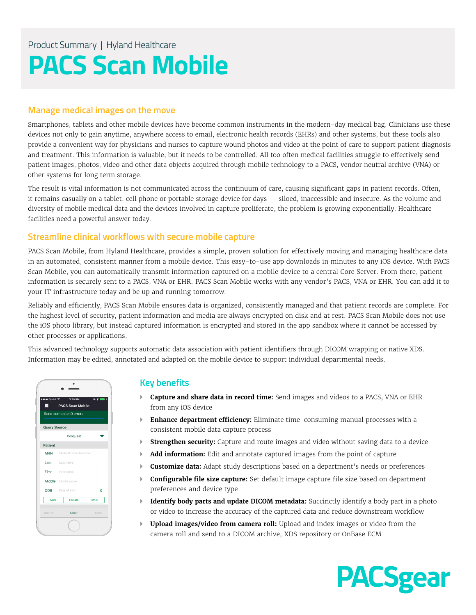# Product Summary | Hyland Healthcare **PACS Scan Mobile**

# **Manage medical images on the move**

Smartphones, tablets and other mobile devices have become common instruments in the modern-day medical bag. Clinicians use these devices not only to gain anytime, anywhere access to email, electronic health records (EHRs) and other systems, but these tools also provide a convenient way for physicians and nurses to capture wound photos and video at the point of care to support patient diagnosis and treatment. This information is valuable, but it needs to be controlled. All too often medical facilities struggle to effectively send patient images, photos, video and other data objects acquired through mobile technology to a PACS, vendor neutral archive (VNA) or other systems for long term storage.

The result is vital information is not communicated across the continuum of care, causing significant gaps in patient records. Often, it remains casually on a tablet, cell phone or portable storage device for days — siloed, inaccessible and insecure. As the volume and diversity of mobile medical data and the devices involved in capture proliferate, the problem is growing exponentially. Healthcare facilities need a powerful answer today.

## **Streamline clinical workflows with secure mobile capture**

PACS Scan Mobile, from Hyland Healthcare, provides a simple, proven solution for effectively moving and managing healthcare data in an automated, consistent manner from a mobile device. This easy-to-use app downloads in minutes to any iOS device. With PACS Scan Mobile, you can automatically transmit information captured on a mobile device to a central Core Server. From there, patient information is securely sent to a PACS, VNA or EHR. PACS Scan Mobile works with any vendor's PACS, VNA or EHR. You can add it to your IT infrastructure today and be up and running tomorrow.

Reliably and efficiently, PACS Scan Mobile ensures data is organized, consistently managed and that patient records are complete. For the highest level of security, patient information and media are always encrypted on disk and at rest. PACS Scan Mobile does not use the iOS photo library, but instead captured information is encrypted and stored in the app sandbox where it cannot be accessed by other processes or applications.

This advanced technology supports automatic data association with patient identifiers through DICOM wrapping or native XDS. Information may be edited, annotated and adapted on the mobile device to support individual departmental needs.



## **Key benefits**

- } **Capture and share data in record time:** Send images and videos to a PACS, VNA or EHR from any iOS device
- } **Enhance department efficiency:** Eliminate time-consuming manual processes with a consistent mobile data capture process
- **Strengthen security:** Capture and route images and video without saving data to a device
- } **Add information:** Edit and annotate captured images from the point of capture
- } **Customize data:** Adapt study descriptions based on a department's needs or preferences
- } **Configurable file size capture:** Set default image capture file size based on department preferences and device type
- } **Identify body parts and update DICOM metadata:** Succinctly identify a body part in a photo or video to increase the accuracy of the captured data and reduce downstream workflow
- } **Upload images/video from camera roll:** Upload and index images or video from the camera roll and send to a DICOM archive, XDS repository or OnBase ECM